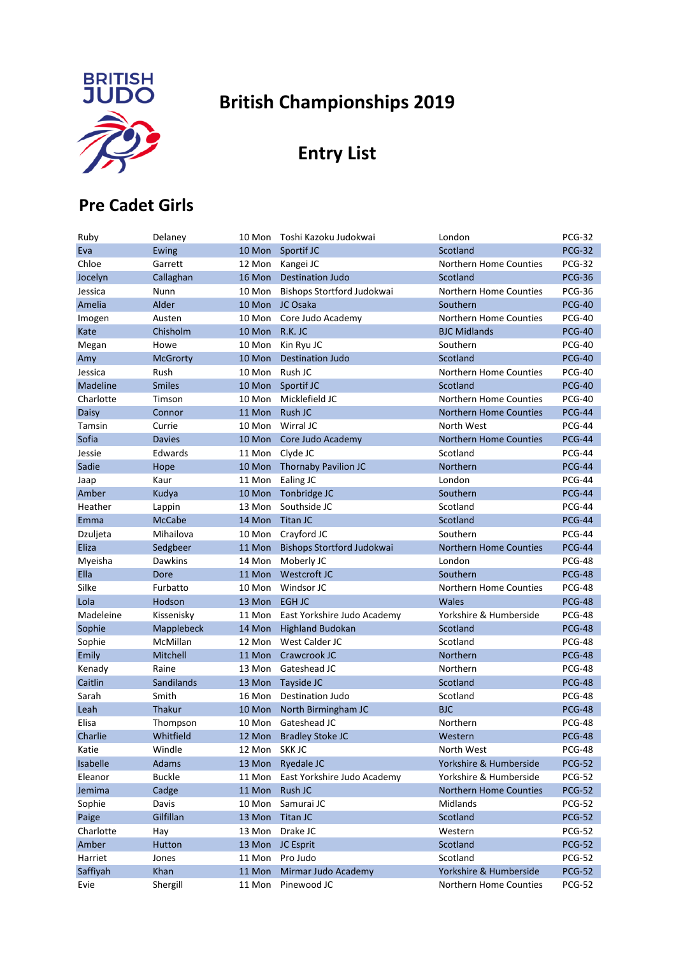

# **British Championships 2019**

## **Entry List**

#### **Pre Cadet Girls**

| Ruby      | Delaney         | 10 Mon        | Toshi Kazoku Judokwai       | London                        | <b>PCG-32</b> |
|-----------|-----------------|---------------|-----------------------------|-------------------------------|---------------|
| Eva       | Ewing           | 10 Mon        | Sportif JC                  | Scotland                      | <b>PCG-32</b> |
| Chloe     | Garrett         | 12 Mon        | Kangei JC                   | Northern Home Counties        | <b>PCG-32</b> |
| Jocelyn   | Callaghan       | 16 Mon        | <b>Destination Judo</b>     | Scotland                      | <b>PCG-36</b> |
| Jessica   | Nunn            | 10 Mon        | Bishops Stortford Judokwai  | Northern Home Counties        | <b>PCG-36</b> |
| Amelia    | Alder           | 10 Mon        | JC Osaka                    | Southern                      | <b>PCG-40</b> |
| Imogen    | Austen          | 10 Mon        | Core Judo Academy           | Northern Home Counties        | <b>PCG-40</b> |
| Kate      | Chisholm        | 10 Mon        | R.K. JC                     | <b>BJC Midlands</b>           | <b>PCG-40</b> |
| Megan     | Howe            | 10 Mon        | Kin Ryu JC                  | Southern                      | <b>PCG-40</b> |
| Amy       | <b>McGrorty</b> | 10 Mon        | <b>Destination Judo</b>     | Scotland                      | <b>PCG-40</b> |
| Jessica   | Rush            | 10 Mon        | Rush JC                     | Northern Home Counties        | <b>PCG-40</b> |
| Madeline  | <b>Smiles</b>   | 10 Mon        | Sportif JC                  | Scotland                      | <b>PCG-40</b> |
| Charlotte | Timson          | 10 Mon        | Micklefield JC              | Northern Home Counties        | <b>PCG-40</b> |
| Daisy     | Connor          | 11 Mon        | Rush JC                     | <b>Northern Home Counties</b> | <b>PCG-44</b> |
| Tamsin    | Currie          | 10 Mon        | Wirral JC                   | North West                    | <b>PCG-44</b> |
| Sofia     | <b>Davies</b>   | 10 Mon        | Core Judo Academy           | <b>Northern Home Counties</b> | <b>PCG-44</b> |
| Jessie    | Edwards         | 11 Mon        | Clyde JC                    | Scotland                      | <b>PCG-44</b> |
| Sadie     | Hope            | 10 Mon        | Thornaby Pavilion JC        | Northern                      | <b>PCG-44</b> |
| Jaap      | Kaur            | 11 Mon        | Ealing JC                   | London                        | <b>PCG-44</b> |
| Amber     | Kudya           | 10 Mon        | Tonbridge JC                | Southern                      | <b>PCG-44</b> |
| Heather   | Lappin          | 13 Mon        | Southside JC                | Scotland                      | <b>PCG-44</b> |
| Emma      | <b>McCabe</b>   | 14 Mon        | <b>Titan JC</b>             | Scotland                      | <b>PCG-44</b> |
| Dzuljeta  | Mihailova       | 10 Mon        | Crayford JC                 | Southern                      | <b>PCG-44</b> |
| Eliza     | Sedgbeer        | 11 Mon        | Bishops Stortford Judokwai  | <b>Northern Home Counties</b> | <b>PCG-44</b> |
| Myeisha   | <b>Dawkins</b>  | 14 Mon        | Moberly JC                  | London                        | <b>PCG-48</b> |
| Ella      | Dore            | 11 Mon        | Westcroft JC                | Southern                      | <b>PCG-48</b> |
| Silke     | Furbatto        | 10 Mon        | Windsor JC                  | Northern Home Counties        | <b>PCG-48</b> |
| Lola      | Hodson          | 13 Mon        | EGH JC                      | <b>Wales</b>                  | <b>PCG-48</b> |
| Madeleine | Kissenisky      | 11 Mon        | East Yorkshire Judo Academy | Yorkshire & Humberside        | <b>PCG-48</b> |
| Sophie    | Mapplebeck      | 14 Mon        | <b>Highland Budokan</b>     | Scotland                      | <b>PCG-48</b> |
| Sophie    | McMillan        | 12 Mon        | West Calder JC              | Scotland                      | <b>PCG-48</b> |
| Emily     | Mitchell        | 11 Mon        | Crawcrook JC                | Northern                      | <b>PCG-48</b> |
| Kenady    | Raine           | 13 Mon        | Gateshead JC                | Northern                      | <b>PCG-48</b> |
| Caitlin   | Sandilands      | 13 Mon        | Tayside JC                  | Scotland                      | <b>PCG-48</b> |
| Sarah     | Smith           | 16 Mon        | Destination Judo            | Scotland                      | <b>PCG-48</b> |
| Leah      | Thakur          | 10 Mon        | North Birmingham JC         | <b>BJC</b>                    | <b>PCG-48</b> |
| Elisa     | Thompson        | 10 Mon        | Gateshead JC                | Northern                      | <b>PCG-48</b> |
| Charlie   | Whitfield       |               | 12 Mon Bradley Stoke JC     | Western                       | <b>PCG-48</b> |
| Katie     | Windle          | 12 Mon SKK JC |                             | North West                    | <b>PCG-48</b> |
| Isabelle  | Adams           | 13 Mon        | Ryedale JC                  | Yorkshire & Humberside        | <b>PCG-52</b> |
| Eleanor   | <b>Buckle</b>   | 11 Mon        | East Yorkshire Judo Academy | Yorkshire & Humberside        | <b>PCG-52</b> |
| Jemima    | Cadge           | 11 Mon        | Rush JC                     | <b>Northern Home Counties</b> | <b>PCG-52</b> |
| Sophie    | Davis           | 10 Mon        | Samurai JC                  | Midlands                      | <b>PCG-52</b> |
| Paige     | Gilfillan       | 13 Mon        | Titan JC                    | Scotland                      | <b>PCG-52</b> |
| Charlotte | Hay             | 13 Mon        | Drake JC                    | Western                       | <b>PCG-52</b> |
| Amber     | Hutton          | 13 Mon        | JC Esprit                   | Scotland                      | <b>PCG-52</b> |
| Harriet   | Jones           | 11 Mon        | Pro Judo                    | Scotland                      | <b>PCG-52</b> |
| Saffiyah  | Khan            | 11 Mon        | Mirmar Judo Academy         | Yorkshire & Humberside        | <b>PCG-52</b> |
| Evie      | Shergill        | 11 Mon        | Pinewood JC                 | Northern Home Counties        | <b>PCG-52</b> |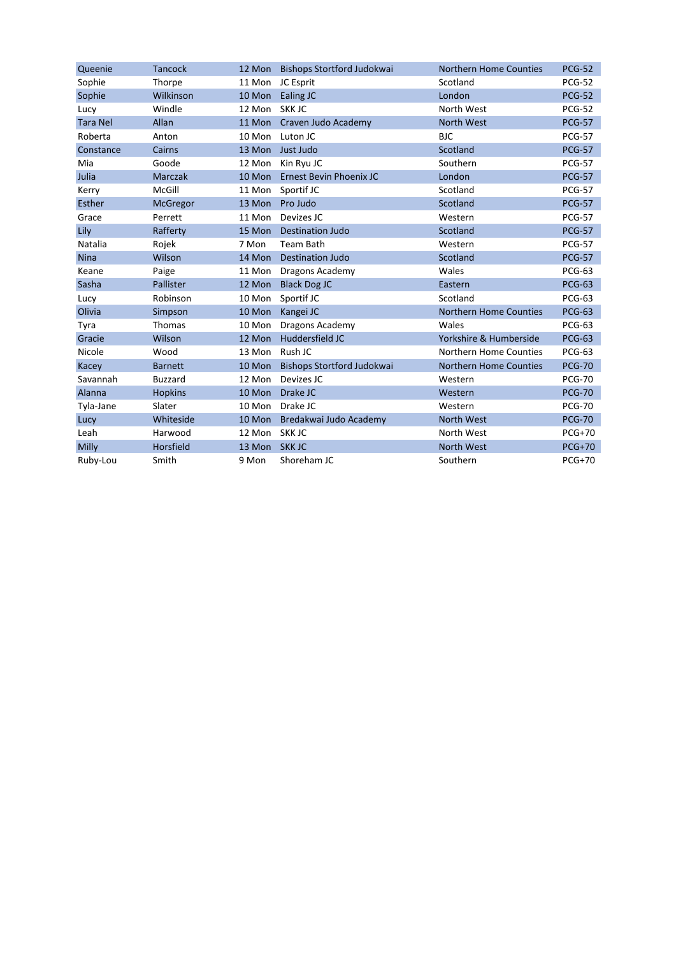| Queenie         | <b>Tancock</b> |               | 12 Mon Bishops Stortford Judokwai | <b>Northern Home Counties</b> | <b>PCG-52</b> |
|-----------------|----------------|---------------|-----------------------------------|-------------------------------|---------------|
| Sophie          | Thorpe         |               | 11 Mon JC Esprit                  | Scotland                      | <b>PCG-52</b> |
| Sophie          | Wilkinson      | 10 Mon        | Ealing JC                         | London                        | <b>PCG-52</b> |
| Lucy            | Windle         | 12 Mon        | SKK JC                            | North West                    | <b>PCG-52</b> |
| <b>Tara Nel</b> | Allan          | 11 Mon        | Craven Judo Academy               | <b>North West</b>             | <b>PCG-57</b> |
| Roberta         | Anton          | 10 Mon        | Luton JC                          | <b>BJC</b>                    | <b>PCG-57</b> |
| Constance       | Cairns         |               | 13 Mon Just Judo                  | Scotland                      | <b>PCG-57</b> |
| Mia             | Goode          | 12 Mon        | Kin Ryu JC                        | Southern                      | <b>PCG-57</b> |
| Julia           | <b>Marczak</b> |               | 10 Mon Ernest Bevin Phoenix JC    | London                        | <b>PCG-57</b> |
| Kerry           | McGill         | 11 Mon        | Sportif JC                        | Scotland                      | <b>PCG-57</b> |
| Esther          | McGregor       |               | 13 Mon Pro Judo                   | Scotland                      | <b>PCG-57</b> |
| Grace           | Perrett        | 11 Mon        | Devizes JC                        | Western                       | <b>PCG-57</b> |
| Lily            | Rafferty       | 15 Mon        | <b>Destination Judo</b>           | Scotland                      | <b>PCG-57</b> |
| <b>Natalia</b>  | Rojek          | 7 Mon         | Team Bath                         | Western                       | <b>PCG-57</b> |
| <b>Nina</b>     | Wilson         | 14 Mon        | <b>Destination Judo</b>           | Scotland                      | <b>PCG-57</b> |
| Keane           | Paige          | 11 Mon        | Dragons Academy                   | Wales                         | <b>PCG-63</b> |
| Sasha           | Pallister      | 12 Mon        | <b>Black Dog JC</b>               | Eastern                       | <b>PCG-63</b> |
| Lucy            | Robinson       | 10 Mon        | Sportif JC                        | Scotland                      | <b>PCG-63</b> |
| Olivia          | Simpson        | 10 Mon        | Kangei JC                         | Northern Home Counties        | <b>PCG-63</b> |
| Tyra            | Thomas         | 10 Mon        | Dragons Academy                   | Wales                         | <b>PCG-63</b> |
| Gracie          | Wilson         | 12 Mon        | Huddersfield JC                   | Yorkshire & Humberside        | <b>PCG-63</b> |
| Nicole          | Wood           | 13 Mon        | Rush JC                           | <b>Northern Home Counties</b> | <b>PCG-63</b> |
| Kacey           | <b>Barnett</b> | 10 Mon        | Bishops Stortford Judokwai        | <b>Northern Home Counties</b> | <b>PCG-70</b> |
| Savannah        | <b>Buzzard</b> | 12 Mon        | Devizes JC                        | Western                       | <b>PCG-70</b> |
| Alanna          | <b>Hopkins</b> | 10 Mon        | Drake JC                          | Western                       | <b>PCG-70</b> |
| Tyla-Jane       | Slater         | 10 Mon        | Drake JC                          | Western                       | <b>PCG-70</b> |
| Lucy            | Whiteside      | 10 Mon        | Bredakwai Judo Academy            | <b>North West</b>             | <b>PCG-70</b> |
| Leah            | Harwood        | 12 Mon SKK JC |                                   | North West                    | $PCG+70$      |
| <b>Milly</b>    | Horsfield      | 13 Mon SKK JC |                                   | <b>North West</b>             | <b>PCG+70</b> |
| Ruby-Lou        | Smith          | 9 Mon         | Shoreham JC                       | Southern                      | $PCG+70$      |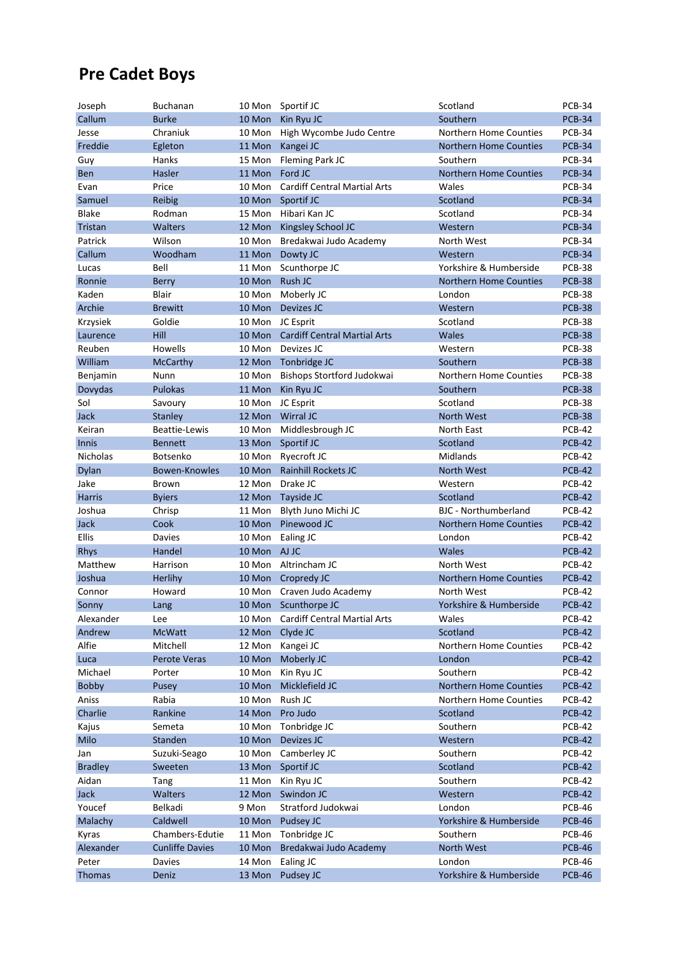### **Pre Cadet Boys**

| Joseph          | <b>Buchanan</b>        |              | 10 Mon Sportif JC                   | Scotland                      | <b>PCB-34</b> |
|-----------------|------------------------|--------------|-------------------------------------|-------------------------------|---------------|
| Callum          | <b>Burke</b>           | 10 Mon       | Kin Ryu JC                          | Southern                      | <b>PCB-34</b> |
| Jesse           | Chraniuk               | 10 Mon       | High Wycombe Judo Centre            | Northern Home Counties        | <b>PCB-34</b> |
| Freddie         | Egleton                | 11 Mon       | Kangei JC                           | <b>Northern Home Counties</b> | <b>PCB-34</b> |
| Guy             | Hanks                  | 15 Mon       | Fleming Park JC                     | Southern                      | <b>PCB-34</b> |
| <b>Ben</b>      | Hasler                 | 11 Mon       | Ford JC                             | <b>Northern Home Counties</b> | <b>PCB-34</b> |
| Evan            | Price                  | 10 Mon       | <b>Cardiff Central Martial Arts</b> | Wales                         | <b>PCB-34</b> |
| Samuel          | Reibig                 | 10 Mon       | Sportif JC                          | Scotland                      | <b>PCB-34</b> |
| <b>Blake</b>    | Rodman                 | 15 Mon       | Hibari Kan JC                       | Scotland                      | <b>PCB-34</b> |
| Tristan         | <b>Walters</b>         | 12 Mon       | Kingsley School JC                  | Western                       | <b>PCB-34</b> |
| Patrick         | Wilson                 | 10 Mon       | Bredakwai Judo Academy              | North West                    | <b>PCB-34</b> |
| Callum          | Woodham                | 11 Mon       | Dowty JC                            | Western                       | <b>PCB-34</b> |
| Lucas           | Bell                   | 11 Mon       | Scunthorpe JC                       | Yorkshire & Humberside        | <b>PCB-38</b> |
| Ronnie          | <b>Berry</b>           | 10 Mon       | Rush JC                             | <b>Northern Home Counties</b> | <b>PCB-38</b> |
| Kaden           | <b>Blair</b>           | 10 Mon       | Moberly JC                          | London                        | <b>PCB-38</b> |
| Archie          | <b>Brewitt</b>         | 10 Mon       | Devizes JC                          | Western                       | <b>PCB-38</b> |
| Krzysiek        | Goldie                 | 10 Mon       | JC Esprit                           | Scotland                      | <b>PCB-38</b> |
| Laurence        | Hill                   | 10 Mon       | <b>Cardiff Central Martial Arts</b> | <b>Wales</b>                  | <b>PCB-38</b> |
| Reuben          | Howells                | 10 Mon       | Devizes JC                          | Western                       | <b>PCB-38</b> |
| William         | <b>McCarthy</b>        | 12 Mon       | Tonbridge JC                        | Southern                      | <b>PCB-38</b> |
| Benjamin        | Nunn                   | 10 Mon       | Bishops Stortford Judokwai          | Northern Home Counties        | <b>PCB-38</b> |
| Dovydas         | <b>Pulokas</b>         | 11 Mon       | Kin Ryu JC                          | Southern                      | <b>PCB-38</b> |
| Sol             | Savoury                | 10 Mon       | JC Esprit                           | Scotland                      | <b>PCB-38</b> |
| Jack            | Stanley                | 12 Mon       | Wirral JC                           | North West                    | <b>PCB-38</b> |
| Keiran          | <b>Beattie-Lewis</b>   | 10 Mon       | Middlesbrough JC                    | North East                    | <b>PCB-42</b> |
| <b>Innis</b>    | <b>Bennett</b>         | 13 Mon       | Sportif JC                          | Scotland                      | <b>PCB-42</b> |
| <b>Nicholas</b> | Botsenko               | 10 Mon       | Ryecroft JC                         | Midlands                      | <b>PCB-42</b> |
| Dylan           | Bowen-Knowles          | 10 Mon       | <b>Rainhill Rockets JC</b>          | <b>North West</b>             | <b>PCB-42</b> |
| Jake            | <b>Brown</b>           | 12 Mon       | Drake JC                            | Western                       | <b>PCB-42</b> |
| <b>Harris</b>   | <b>Byiers</b>          | 12 Mon       | Tayside JC                          | Scotland                      | <b>PCB-42</b> |
| Joshua          | Chrisp                 | 11 Mon       | Blyth Juno Michi JC                 | <b>BJC</b> - Northumberland   | <b>PCB-42</b> |
| Jack            | Cook                   | 10 Mon       | Pinewood JC                         | <b>Northern Home Counties</b> | <b>PCB-42</b> |
| Ellis           | Davies                 | 10 Mon       | Ealing JC                           | London                        | <b>PCB-42</b> |
| <b>Rhys</b>     | Handel                 | 10 Mon AJ JC |                                     | <b>Wales</b>                  | <b>PCB-42</b> |
| Matthew         | Harrison               |              | 10 Mon Altrincham JC                | North West                    | <b>PCB-42</b> |
| Joshua          | Herlihy                | 10 Mon       | Cropredy JC                         | <b>Northern Home Counties</b> | <b>PCB-42</b> |
| Connor          | Howard                 | 10 Mon       | Craven Judo Academy                 | North West                    | <b>PCB-42</b> |
| Sonny           | Lang                   | 10 Mon       | Scunthorpe JC                       | Yorkshire & Humberside        | <b>PCB-42</b> |
| Alexander       | Lee                    | 10 Mon       | <b>Cardiff Central Martial Arts</b> | Wales                         | <b>PCB-42</b> |
| Andrew          | <b>McWatt</b>          | 12 Mon       | Clyde JC                            | Scotland                      | <b>PCB-42</b> |
| Alfie           | Mitchell               | 12 Mon       | Kangei JC                           | Northern Home Counties        | <b>PCB-42</b> |
| Luca            | Perote Veras           | 10 Mon       | Moberly JC                          | London                        | <b>PCB-42</b> |
| Michael         | Porter                 | 10 Mon       | Kin Ryu JC                          | Southern                      | <b>PCB-42</b> |
| Bobby           | Pusey                  | 10 Mon       | Micklefield JC                      | Northern Home Counties        | <b>PCB-42</b> |
| Aniss           | Rabia                  | 10 Mon       | Rush JC                             | Northern Home Counties        | PCB-42        |
| Charlie         | Rankine                | 14 Mon       | Pro Judo                            | Scotland                      | <b>PCB-42</b> |
| Kajus           | Semeta                 | 10 Mon       | Tonbridge JC                        | Southern                      | PCB-42        |
| Milo            | Standen                | 10 Mon       | Devizes JC                          | Western                       | <b>PCB-42</b> |
| Jan             | Suzuki-Seago           | 10 Mon       | Camberley JC                        | Southern                      | <b>PCB-42</b> |
| <b>Bradley</b>  | Sweeten                | 13 Mon       | Sportif JC                          | Scotland                      | <b>PCB-42</b> |
| Aidan           | Tang                   | 11 Mon       | Kin Ryu JC                          | Southern                      | <b>PCB-42</b> |
| Jack            | Walters                | 12 Mon       | Swindon JC                          | Western                       | <b>PCB-42</b> |
| Youcef          | Belkadi                | 9 Mon        | Stratford Judokwai                  | London                        | <b>PCB-46</b> |
| Malachy         | Caldwell               | 10 Mon       | Pudsey JC                           | Yorkshire & Humberside        | <b>PCB-46</b> |
| Kyras           | Chambers-Edutie        | 11 Mon       | Tonbridge JC                        | Southern                      | <b>PCB-46</b> |
| Alexander       | <b>Cunliffe Davies</b> | 10 Mon       | Bredakwai Judo Academy              | North West                    | <b>PCB-46</b> |
| Peter           | Davies                 | 14 Mon       | Ealing JC                           | London                        | PCB-46        |
| Thomas          | Deniz                  | 13 Mon       | Pudsey JC                           | Yorkshire & Humberside        | <b>PCB-46</b> |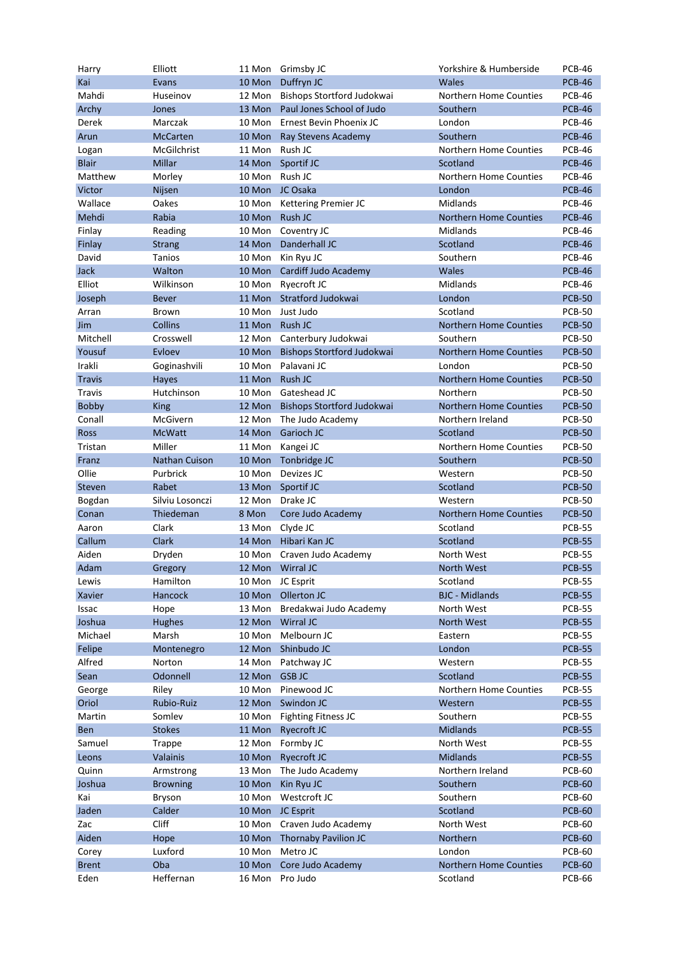| Harry         | Elliott         |                  | 11 Mon Grimsby JC           | Yorkshire & Humberside        | <b>PCB-46</b> |
|---------------|-----------------|------------------|-----------------------------|-------------------------------|---------------|
| Kai           | Evans           | 10 Mon           | Duffryn JC                  | <b>Wales</b>                  | <b>PCB-46</b> |
| Mahdi         | Huseinov        | 12 Mon           | Bishops Stortford Judokwai  | Northern Home Counties        | <b>PCB-46</b> |
| Archy         | Jones           | 13 Mon           | Paul Jones School of Judo   | Southern                      | <b>PCB-46</b> |
| Derek         | Marczak         | 10 Mon           | Ernest Bevin Phoenix JC     | London                        | <b>PCB-46</b> |
| Arun          | <b>McCarten</b> | 10 Mon           | Ray Stevens Academy         | Southern                      | <b>PCB-46</b> |
| Logan         | McGilchrist     | 11 Mon           | Rush JC                     | <b>Northern Home Counties</b> | <b>PCB-46</b> |
| <b>Blair</b>  | Millar          | 14 Mon           | Sportif JC                  | Scotland                      | <b>PCB-46</b> |
| Matthew       | Morley          | 10 Mon           | Rush JC                     | Northern Home Counties        | <b>PCB-46</b> |
| Victor        | Nijsen          | 10 Mon           | JC Osaka                    | London                        | <b>PCB-46</b> |
| Wallace       | Oakes           | 10 Mon           | <b>Kettering Premier JC</b> | Midlands                      | <b>PCB-46</b> |
|               | Rabia           |                  | Rush JC                     | <b>Northern Home Counties</b> | <b>PCB-46</b> |
| Mehdi         |                 | 10 Mon           |                             |                               |               |
| Finlay        | Reading         | 10 Mon           | Coventry JC                 | Midlands                      | <b>PCB-46</b> |
| Finlay        | <b>Strang</b>   | 14 Mon           | Danderhall JC               | Scotland                      | <b>PCB-46</b> |
| David         | Tanios          | 10 Mon           | Kin Ryu JC                  | Southern                      | <b>PCB-46</b> |
| Jack          | Walton          | 10 Mon           | Cardiff Judo Academy        | Wales                         | <b>PCB-46</b> |
| Elliot        | Wilkinson       | 10 Mon           | Ryecroft JC                 | <b>Midlands</b>               | <b>PCB-46</b> |
| Joseph        | <b>Bever</b>    | 11 Mon           | Stratford Judokwai          | London                        | <b>PCB-50</b> |
| Arran         | <b>Brown</b>    | 10 Mon           | Just Judo                   | Scotland                      | <b>PCB-50</b> |
| Jim           | <b>Collins</b>  | 11 Mon           | Rush JC                     | <b>Northern Home Counties</b> | <b>PCB-50</b> |
| Mitchell      | Crosswell       | 12 Mon           | Canterbury Judokwai         | Southern                      | <b>PCB-50</b> |
| Yousuf        | Evloev          | 10 Mon           | Bishops Stortford Judokwai  | <b>Northern Home Counties</b> | <b>PCB-50</b> |
| Irakli        | Goginashvili    | 10 Mon           | Palavani JC                 | London                        | <b>PCB-50</b> |
| <b>Travis</b> | Hayes           | 11 Mon           | Rush JC                     | <b>Northern Home Counties</b> | <b>PCB-50</b> |
| <b>Travis</b> | Hutchinson      | 10 Mon           | Gateshead JC                | Northern                      | <b>PCB-50</b> |
| Bobby         | <b>King</b>     | 12 Mon           | Bishops Stortford Judokwai  | <b>Northern Home Counties</b> | <b>PCB-50</b> |
| Conall        | McGivern        | 12 Mon           | The Judo Academy            | Northern Ireland              | <b>PCB-50</b> |
| <b>Ross</b>   | <b>McWatt</b>   | 14 Mon           | Garioch JC                  | Scotland                      | <b>PCB-50</b> |
|               | Miller          |                  |                             |                               | <b>PCB-50</b> |
| Tristan       |                 | 11 Mon           | Kangei JC                   | Northern Home Counties        |               |
| Franz         | Nathan Cuison   | 10 Mon           | Tonbridge JC                | Southern                      | <b>PCB-50</b> |
| Ollie         | Purbrick        | 10 Mon           | Devizes JC                  | Western                       | <b>PCB-50</b> |
| Steven        | Rabet           | 13 Mon           | Sportif JC                  | Scotland                      | <b>PCB-50</b> |
| Bogdan        | Silviu Losonczi | 12 Mon           | Drake JC                    | Western                       | <b>PCB-50</b> |
| Conan         | Thiedeman       | 8 Mon            | Core Judo Academy           | <b>Northern Home Counties</b> | <b>PCB-50</b> |
| Aaron         | Clark           | 13 Mon           | Clyde JC                    | Scotland                      | <b>PCB-55</b> |
| Callum        | Clark           | 14 Mon           | Hibari Kan JC               | Scotland                      | <b>PCB-55</b> |
| Aiden         | Dryden          | 10 Mon           | Craven Judo Academy         | North West                    | <b>PCB-55</b> |
| Adam          | Gregory         | 12 Mon           | Wirral JC                   | <b>North West</b>             | <b>PCB-55</b> |
| Lewis         | Hamilton        | 10 Mon JC Esprit |                             | Scotland                      | <b>PCB-55</b> |
| Xavier        | Hancock         | 10 Mon           | Ollerton JC                 | <b>BJC - Midlands</b>         | <b>PCB-55</b> |
| Issac         | Hope            | 13 Mon           | Bredakwai Judo Academy      | North West                    | <b>PCB-55</b> |
| Joshua        | <b>Hughes</b>   | 12 Mon           | Wirral JC                   | North West                    | <b>PCB-55</b> |
| Michael       | Marsh           | 10 Mon           | Melbourn JC                 | Eastern                       | <b>PCB-55</b> |
| Felipe        | Montenegro      | 12 Mon           | Shinbudo JC                 | London                        | <b>PCB-55</b> |
| Alfred        | Norton          | 14 Mon           | Patchway JC                 | Western                       | <b>PCB-55</b> |
| Sean          | Odonnell        | 12 Mon           | <b>GSB JC</b>               | Scotland                      | <b>PCB-55</b> |
| George        | Riley           | 10 Mon           | Pinewood JC                 | Northern Home Counties        | <b>PCB-55</b> |
| Oriol         | Rubio-Ruiz      | 12 Mon           | Swindon JC                  | Western                       | <b>PCB-55</b> |
| Martin        | Somlev          | 10 Mon           | <b>Fighting Fitness JC</b>  | Southern                      | <b>PCB-55</b> |
| Ben           | <b>Stokes</b>   |                  | Ryecroft JC                 | <b>Midlands</b>               | <b>PCB-55</b> |
|               |                 | 11 Mon           |                             |                               |               |
| Samuel        | <b>Trappe</b>   | 12 Mon           | Formby JC                   | North West                    | <b>PCB-55</b> |
| Leons         | Valainis        | 10 Mon           | <b>Ryecroft JC</b>          | <b>Midlands</b>               | <b>PCB-55</b> |
| Quinn         | Armstrong       | 13 Mon           | The Judo Academy            | Northern Ireland              | <b>PCB-60</b> |
| Joshua        | <b>Browning</b> | 10 Mon           | Kin Ryu JC                  | Southern                      | <b>PCB-60</b> |
| Kai           | Bryson          | 10 Mon           | Westcroft JC                | Southern                      | <b>PCB-60</b> |
| Jaden         | Calder          | 10 Mon           | JC Esprit                   | Scotland                      | <b>PCB-60</b> |
| Zac           | Cliff           | 10 Mon           | Craven Judo Academy         | North West                    | <b>PCB-60</b> |
| Aiden         | Hope            | 10 Mon           | Thornaby Pavilion JC        | Northern                      | <b>PCB-60</b> |
| Corey         | Luxford         | 10 Mon           | Metro JC                    | London                        | <b>PCB-60</b> |
| <b>Brent</b>  | Oba             | 10 Mon           | Core Judo Academy           | Northern Home Counties        | <b>PCB-60</b> |
| Eden          | Heffernan       | 16 Mon           | Pro Judo                    | Scotland                      | <b>PCB-66</b> |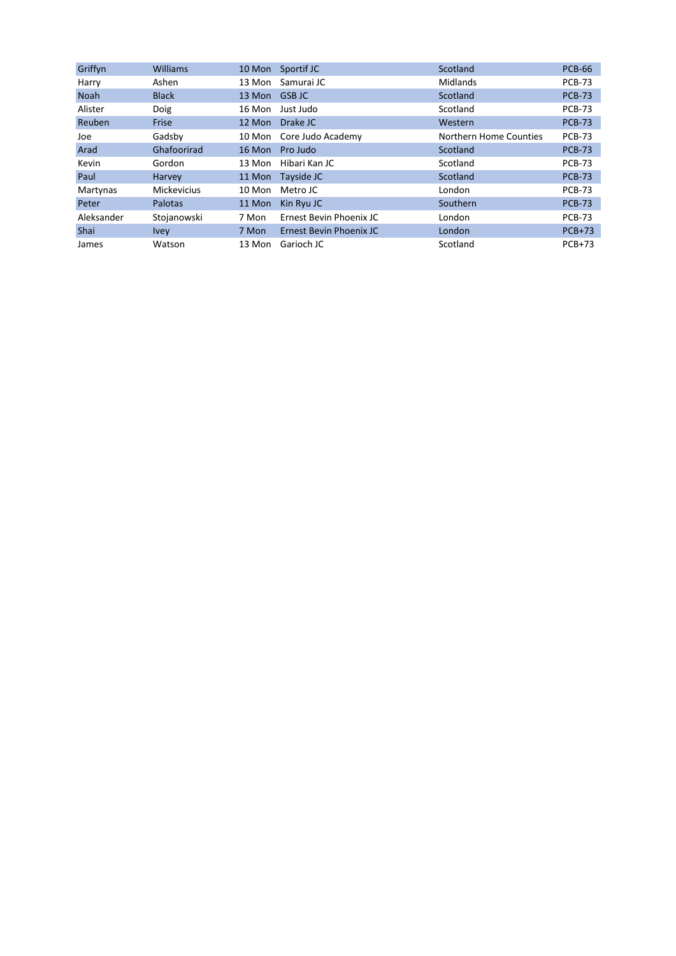| Griffyn     | <b>Williams</b>    | 10 Mon | Sportif JC              | Scotland               | <b>PCB-66</b> |
|-------------|--------------------|--------|-------------------------|------------------------|---------------|
| Harry       | Ashen              | 13 Mon | Samurai JC              | Midlands               | <b>PCB-73</b> |
| <b>Noah</b> | <b>Black</b>       | 13 Mon | <b>GSB JC</b>           | Scotland               | <b>PCB-73</b> |
| Alister     | Doig               | 16 Mon | Just Judo               | Scotland               | <b>PCB-73</b> |
| Reuben      | Frise              | 12 Mon | Drake JC                | Western                | <b>PCB-73</b> |
| Joe         | Gadsby             | 10 Mon | Core Judo Academy       | Northern Home Counties | <b>PCB-73</b> |
| Arad        | Ghafoorirad        | 16 Mon | Pro Judo                | Scotland               | <b>PCB-73</b> |
| Kevin       | Gordon             | 13 Mon | Hibari Kan JC           | Scotland               | <b>PCB-73</b> |
| Paul        | Harvey             | 11 Mon | Tayside JC              | Scotland               | <b>PCB-73</b> |
| Martynas    | <b>Mickevicius</b> | 10 Mon | Metro JC                | London                 | <b>PCB-73</b> |
| Peter       | <b>Palotas</b>     | 11 Mon | Kin Ryu JC              | Southern               | <b>PCB-73</b> |
| Aleksander  | Stojanowski        | 7 Mon  | Ernest Bevin Phoenix JC | London                 | <b>PCB-73</b> |
| <b>Shai</b> | <b>Ivey</b>        | 7 Mon  | Ernest Bevin Phoenix JC | London                 | $PCB+73$      |
| James       | Watson             | 13 Mon | Garioch JC              | Scotland               | $PCB+73$      |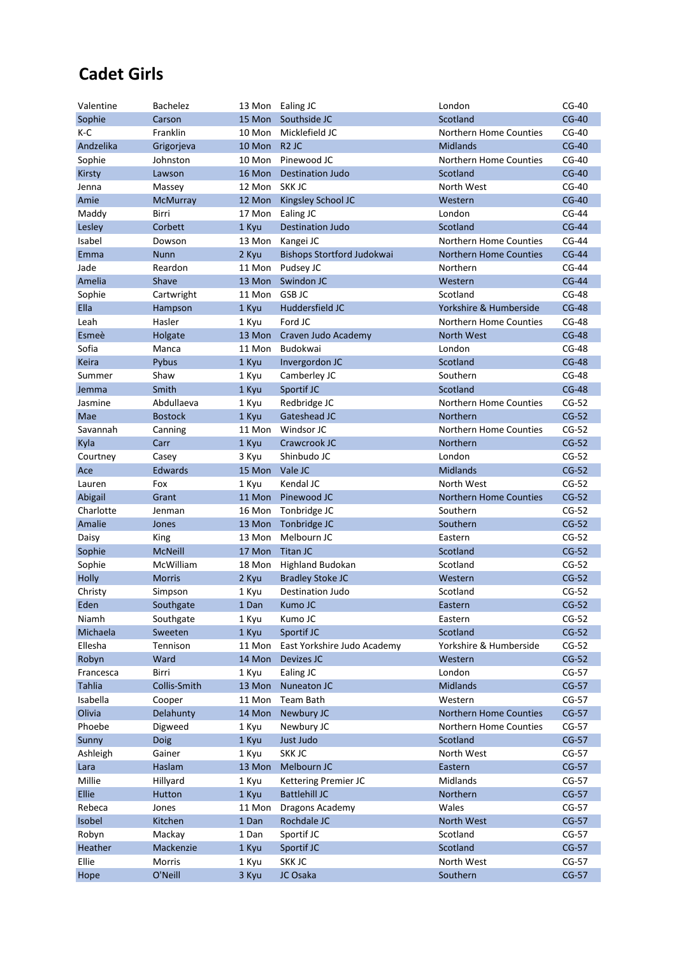### **Cadet Girls**

| Valentine     | <b>Bachelez</b> |              | 13 Mon Ealing JC            | London                        | $CG-40$ |
|---------------|-----------------|--------------|-----------------------------|-------------------------------|---------|
| Sophie        | Carson          |              | 15 Mon Southside JC         | Scotland                      | $CG-40$ |
| K-C           | Franklin        | 10 Mon       | Micklefield JC              | Northern Home Counties        | $CG-40$ |
| Andzelika     | Grigorjeva      | 10 Mon R2 JC |                             | <b>Midlands</b>               | $CG-40$ |
| Sophie        | Johnston        | 10 Mon       | Pinewood JC                 | Northern Home Counties        | $CG-40$ |
| Kirsty        | Lawson          | 16 Mon       | <b>Destination Judo</b>     | Scotland                      | $CG-40$ |
| Jenna         | Massey          | 12 Mon       | SKK JC                      | North West                    | $CG-40$ |
| Amie          | McMurray        | 12 Mon       | Kingsley School JC          | Western                       | $CG-40$ |
| Maddy         | Birri           | 17 Mon       | Ealing JC                   | London                        | $CG-44$ |
| Lesley        | Corbett         | 1 Kyu        | <b>Destination Judo</b>     | Scotland                      | $CG-44$ |
| Isabel        | Dowson          | 13 Mon       | Kangei JC                   | Northern Home Counties        | $CG-44$ |
| Emma          | <b>Nunn</b>     | 2 Kyu        | Bishops Stortford Judokwai  | Northern Home Counties        | $CG-44$ |
| Jade          | Reardon         | 11 Mon       | Pudsey JC                   | Northern                      | $CG-44$ |
| Amelia        | Shave           | 13 Mon       | Swindon JC                  | Western                       | $CG-44$ |
| Sophie        | Cartwright      | 11 Mon       | <b>GSB JC</b>               | Scotland                      | $CG-48$ |
| Ella          | Hampson         | 1 Kyu        | Huddersfield JC             | Yorkshire & Humberside        | $CG-48$ |
| Leah          | Hasler          | 1 Kyu        | Ford JC                     | Northern Home Counties        | $CG-48$ |
| Esmeè         | Holgate         | 13 Mon       | Craven Judo Academy         | North West                    | $CG-48$ |
| Sofia         | Manca           | 11 Mon       | Budokwai                    | London                        | $CG-48$ |
| Keira         | Pybus           | 1 Kyu        | Invergordon JC              | Scotland                      | $CG-48$ |
| Summer        | Shaw            | 1 Kyu        | Camberley JC                | Southern                      | $CG-48$ |
| Jemma         | Smith           | 1 Kyu        | Sportif JC                  | Scotland                      | $CG-48$ |
| Jasmine       | Abdullaeva      | 1 Kyu        | Redbridge JC                | <b>Northern Home Counties</b> | $CG-52$ |
| Mae           | <b>Bostock</b>  | 1 Kyu        | Gateshead JC                | Northern                      | $CG-52$ |
| Savannah      | Canning         | 11 Mon       | Windsor JC                  | Northern Home Counties        | $CG-52$ |
| Kyla          | Carr            | 1 Kyu        | Crawcrook JC                | Northern                      | $CG-52$ |
| Courtney      | Casey           | 3 Kyu        | Shinbudo JC                 | London                        | $CG-52$ |
| Ace           | Edwards         | 15 Mon       | Vale JC                     | <b>Midlands</b>               | $CG-52$ |
| Lauren        | Fox             | 1 Kyu        | Kendal JC                   | North West                    | $CG-52$ |
| Abigail       | Grant           | 11 Mon       | Pinewood JC                 | <b>Northern Home Counties</b> | $CG-52$ |
| Charlotte     | Jenman          | 16 Mon       | Tonbridge JC                | Southern                      | $CG-52$ |
| Amalie        | Jones           | 13 Mon       | Tonbridge JC                | Southern                      | $CG-52$ |
| Daisy         | King            | 13 Mon       | Melbourn JC                 | Eastern                       | $CG-52$ |
| Sophie        | <b>McNeill</b>  | 17 Mon       | Titan JC                    | Scotland                      | $CG-52$ |
| Sophie        | McWilliam       | 18 Mon       | <b>Highland Budokan</b>     | Scotland                      | $CG-52$ |
| Holly         | <b>Morris</b>   | 2 Kyu        | <b>Bradley Stoke JC</b>     | Western                       | $CG-52$ |
| Christy       | Simpson         | 1 Kyu        | Destination Judo            | Scotland                      | $CG-52$ |
| Eden          | Southgate       | 1 Dan        | Kumo JC                     | Eastern                       | $CG-52$ |
| Niamh         | Southgate       | 1 Kyu        | Kumo JC                     | Eastern                       | $CG-52$ |
| Michaela      | Sweeten         | 1 Kyu        | Sportif JC                  | Scotland                      | $CG-52$ |
| Ellesha       | Tennison        | 11 Mon       | East Yorkshire Judo Academy | Yorkshire & Humberside        | $CG-52$ |
| Robyn         | Ward            | 14 Mon       | Devizes JC                  | Western                       | $CG-52$ |
| Francesca     | Birri           | 1 Kyu        | Ealing JC                   | London                        | $CG-57$ |
| <b>Tahlia</b> | Collis-Smith    | 13 Mon       | Nuneaton JC                 | <b>Midlands</b>               | $CG-57$ |
| Isabella      | Cooper          | 11 Mon       | Team Bath                   | Western                       | $CG-57$ |
| Olivia        | Delahunty       | 14 Mon       | Newbury JC                  | Northern Home Counties        | $CG-57$ |
| Phoebe        | Digweed         | 1 Kyu        | Newbury JC                  | Northern Home Counties        | $CG-57$ |
| Sunny         | Doig            | 1 Kyu        | Just Judo                   | Scotland                      | $CG-57$ |
| Ashleigh      | Gainer          | 1 Kyu        | SKK JC                      | North West                    | $CG-57$ |
| Lara          | Haslam          | 13 Mon       | Melbourn JC                 | Eastern                       | $CG-57$ |
| Millie        | Hillyard        | 1 Kyu        | Kettering Premier JC        | Midlands                      | $CG-57$ |
| Ellie         | Hutton          | 1 Kyu        | <b>Battlehill JC</b>        | Northern                      | $CG-57$ |
| Rebeca        | Jones           | 11 Mon       | Dragons Academy             | Wales                         | $CG-57$ |
| Isobel        | Kitchen         | 1 Dan        | Rochdale JC                 | North West                    | $CG-57$ |
| Robyn         | Mackay          | 1 Dan        | Sportif JC                  | Scotland                      | $CG-57$ |
| Heather       | Mackenzie       | 1 Kyu        | Sportif JC                  | Scotland                      | $CG-57$ |
| Ellie         | Morris          | 1 Kyu        | SKK JC                      | North West                    | $CG-57$ |
| Hope          | O'Neill         | 3 Kyu        | JC Osaka                    | Southern                      | $CG-57$ |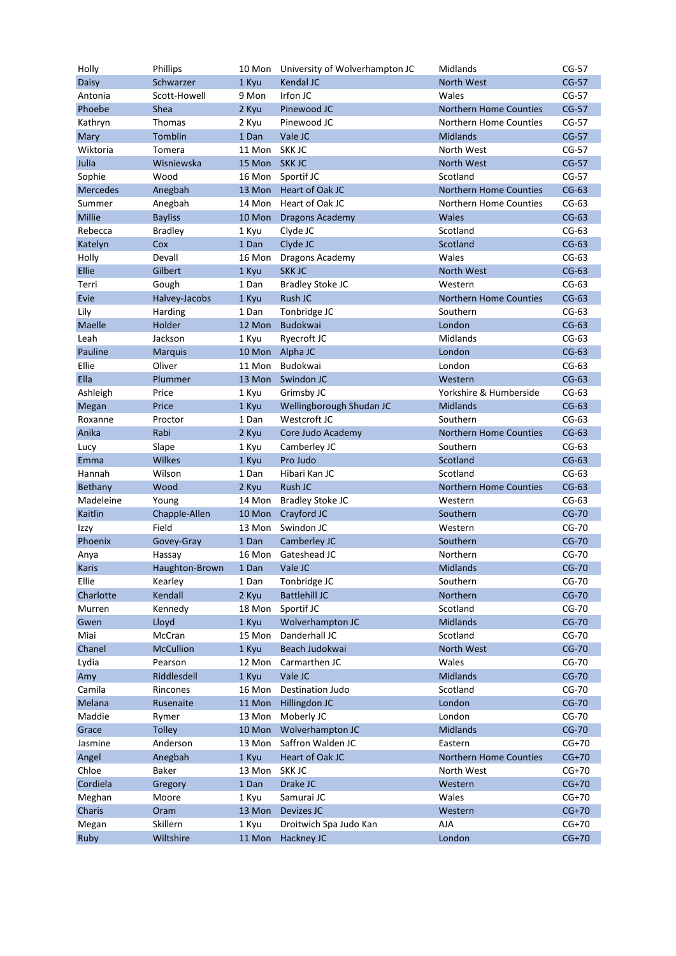| Holly         | Phillips         |        | 10 Mon University of Wolverhampton JC | Midlands                      | $CG-57$      |
|---------------|------------------|--------|---------------------------------------|-------------------------------|--------------|
| Daisy         | Schwarzer        | 1 Kyu  | Kendal JC                             | <b>North West</b>             | $CG-57$      |
| Antonia       | Scott-Howell     | 9 Mon  | Irfon JC                              | Wales                         | $CG-57$      |
| Phoebe        | Shea             | 2 Kyu  | Pinewood JC                           | <b>Northern Home Counties</b> | $CG-57$      |
| Kathryn       | Thomas           | 2 Kyu  | Pinewood JC                           | Northern Home Counties        | $CG-57$      |
| Mary          | Tomblin          | 1 Dan  | Vale JC                               | <b>Midlands</b>               | $CG-57$      |
| Wiktoria      | Tomera           | 11 Mon | SKK JC                                | North West                    | $CG-57$      |
| Julia         | Wisniewska       | 15 Mon | <b>SKKJC</b>                          | <b>North West</b>             | $CG-57$      |
| Sophie        | Wood             | 16 Mon | Sportif JC                            | Scotland                      | $CG-57$      |
| Mercedes      | Anegbah          | 13 Mon | Heart of Oak JC                       | <b>Northern Home Counties</b> | $CG-63$      |
| Summer        | Anegbah          | 14 Mon | Heart of Oak JC                       | Northern Home Counties        | $CG-63$      |
| <b>Millie</b> | <b>Bayliss</b>   | 10 Mon | <b>Dragons Academy</b>                | Wales                         | $CG-63$      |
| Rebecca       | <b>Bradley</b>   | 1 Kyu  | Clyde JC                              | Scotland                      | $CG-63$      |
| Katelyn       | Cox              | 1 Dan  | Clyde JC                              | Scotland                      | $CG-63$      |
| Holly         | Devall           | 16 Mon | Dragons Academy                       | Wales                         | $CG-63$      |
| Ellie         | Gilbert          | 1 Kyu  | <b>SKKJC</b>                          | North West                    | $CG-63$      |
| Terri         | Gough            | 1 Dan  | <b>Bradley Stoke JC</b>               | Western                       | $CG-63$      |
| Evie          | Halvey-Jacobs    | 1 Kyu  | Rush JC                               | <b>Northern Home Counties</b> | $CG-63$      |
| Lily          | Harding          | 1 Dan  | Tonbridge JC                          | Southern                      | $CG-63$      |
| Maelle        | Holder           | 12 Mon | Budokwai                              | London                        | $CG-63$      |
| Leah          | Jackson          | 1 Kyu  | Ryecroft JC                           | Midlands                      | $CG-63$      |
| Pauline       | <b>Marquis</b>   | 10 Mon | Alpha JC                              | London                        | $CG-63$      |
| Ellie         | Oliver           | 11 Mon | Budokwai                              | London                        | $CG-63$      |
| Ella          | Plummer          | 13 Mon | Swindon JC                            | Western                       | $CG-63$      |
| Ashleigh      | Price            | 1 Kyu  | Grimsby JC                            | Yorkshire & Humberside        | $CG-63$      |
| Megan         | Price            | 1 Kyu  | Wellingborough Shudan JC              | <b>Midlands</b>               | $CG-63$      |
| Roxanne       | Proctor          | 1 Dan  | Westcroft JC                          | Southern                      | $CG-63$      |
| Anika         | Rabi             | 2 Kyu  | Core Judo Academy                     | <b>Northern Home Counties</b> | $CG-63$      |
| Lucy          | Slape            | 1 Kyu  | Camberley JC                          | Southern                      | $CG-63$      |
| Emma          | <b>Wilkes</b>    | 1 Kyu  | Pro Judo                              | Scotland                      | $CG-63$      |
| Hannah        | Wilson           | 1 Dan  | Hibari Kan JC                         | Scotland                      | $CG-63$      |
| Bethany       | Wood             | 2 Kyu  | Rush JC                               | <b>Northern Home Counties</b> | $CG-63$      |
| Madeleine     | Young            | 14 Mon | <b>Bradley Stoke JC</b>               | Western                       | $CG-63$      |
| Kaitlin       | Chapple-Allen    | 10 Mon | Crayford JC                           | Southern                      | <b>CG-70</b> |
| Izzy          | Field            | 13 Mon | Swindon JC                            | Western                       | $CG-70$      |
| Phoenix       | Govey-Gray       | 1 Dan  | Camberley JC                          | Southern                      | $CG-70$      |
| Anya          | Hassay           | 16 Mon | Gateshead JC                          | Northern                      | CG-70        |
| Karis         | Haughton-Brown   | 1 Dan  | Vale JC                               | Midlands                      | $CG-70$      |
| Ellie         | Kearley          | 1 Dan  | Tonbridge JC                          | Southern                      | CG-70        |
| Charlotte     | Kendall          | 2 Kyu  | <b>Battlehill JC</b>                  | Northern                      | <b>CG-70</b> |
| Murren        | Kennedy          | 18 Mon | Sportif JC                            | Scotland                      | $CG-70$      |
| Gwen          | Lloyd            | 1 Kyu  | Wolverhampton JC                      | <b>Midlands</b>               | <b>CG-70</b> |
| Miai          | McCran           | 15 Mon | Danderhall JC                         | Scotland                      | CG-70        |
| Chanel        | <b>McCullion</b> | 1 Kyu  | Beach Judokwai                        | North West                    | <b>CG-70</b> |
| Lydia         | Pearson          | 12 Mon | Carmarthen JC                         | Wales                         | CG-70        |
| Amy           | Riddlesdell      | 1 Kyu  | Vale JC                               | Midlands                      | $CG-70$      |
| Camila        | Rincones         | 16 Mon | Destination Judo                      | Scotland                      | CG-70        |
| Melana        | Rusenaite        | 11 Mon | Hillingdon JC                         | London                        | $CG-70$      |
| Maddie        | Rymer            | 13 Mon | Moberly JC                            | London                        | CG-70        |
| Grace         | <b>Tolley</b>    | 10 Mon | Wolverhampton JC                      | <b>Midlands</b>               | <b>CG-70</b> |
| Jasmine       | Anderson         | 13 Mon | Saffron Walden JC                     | Eastern                       | $CG+70$      |
| Angel         | Anegbah          | 1 Kyu  | Heart of Oak JC                       | Northern Home Counties        | $CG+70$      |
| Chloe         | Baker            | 13 Mon | SKK JC                                | North West                    | $CG+70$      |
| Cordiela      | Gregory          | 1 Dan  | Drake JC                              | Western                       | $CG+70$      |
| Meghan        | Moore            | 1 Kyu  | Samurai JC                            | Wales                         | $CG+70$      |
| Charis        | Oram             | 13 Mon | Devizes JC                            | Western                       | $CG+70$      |
| Megan         | Skillern         | 1 Kyu  | Droitwich Spa Judo Kan                | AJA                           | $CG+70$      |
| Ruby          | Wiltshire        | 11 Mon | Hackney JC                            | London                        | $CG+70$      |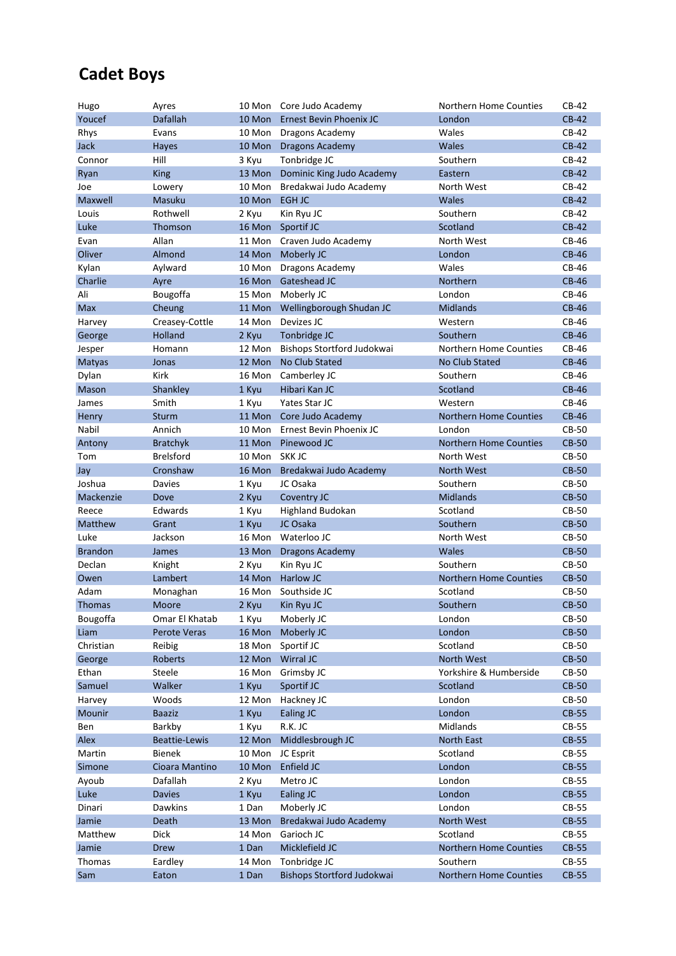### **Cadet Boys**

| Hugo           | Ayres                |                 | 10 Mon Core Judo Academy                   | Northern Home Counties             | CB-42                 |
|----------------|----------------------|-----------------|--------------------------------------------|------------------------------------|-----------------------|
| Youcef         | <b>Dafallah</b>      |                 | 10 Mon Ernest Bevin Phoenix JC             | London                             | $CB-42$               |
| Rhys           | Evans                | 10 Mon          | Dragons Academy                            | Wales                              | $CB-42$               |
| Jack           | Hayes                |                 | 10 Mon Dragons Academy                     | Wales                              | $CB-42$               |
| Connor         | Hill                 | 3 Kyu           | Tonbridge JC                               | Southern                           | $CB-42$               |
| Ryan           | <b>King</b>          | 13 Mon          | Dominic King Judo Academy                  | Eastern                            | $CB-42$               |
| Joe            | Lowery               | 10 Mon          | Bredakwai Judo Academy                     | North West                         | CB-42                 |
| Maxwell        | Masuku               | 10 Mon EGH JC   |                                            | <b>Wales</b>                       | $CB-42$               |
| Louis          | Rothwell             | 2 Kyu           | Kin Ryu JC                                 | Southern                           | CB-42                 |
| Luke           | Thomson              | 16 Mon          | Sportif JC                                 | Scotland                           | $CB-42$               |
| Evan           | Allan                | 11 Mon          | Craven Judo Academy                        | North West                         | CB-46                 |
| Oliver         | Almond               | 14 Mon          | Moberly JC                                 | London                             | <b>CB-46</b>          |
| Kylan          | Aylward              | 10 Mon          | Dragons Academy                            | Wales                              | CB-46                 |
| Charlie        | Ayre                 | 16 Mon          | Gateshead JC                               | Northern                           | <b>CB-46</b>          |
| Ali            | Bougoffa             | 15 Mon          | Moberly JC                                 | London                             | CB-46                 |
| <b>Max</b>     | Cheung               | 11 Mon          | Wellingborough Shudan JC                   | <b>Midlands</b>                    | <b>CB-46</b>          |
| Harvey         | Creasey-Cottle       | 14 Mon          | Devizes JC                                 | Western                            | CB-46                 |
| George         | Holland              | 2 Kyu           | Tonbridge JC                               | Southern                           | <b>CB-46</b>          |
| Jesper         | Homann               | 12 Mon          | Bishops Stortford Judokwai                 | Northern Home Counties             | CB-46                 |
| Matyas         | Jonas                | 12 Mon          | No Club Stated                             | No Club Stated                     | <b>CB-46</b>          |
| Dylan          | <b>Kirk</b>          | 16 Mon          | Camberley JC                               | Southern                           | CB-46                 |
| Mason          | Shankley             | 1 Kyu           | Hibari Kan JC                              | Scotland                           | <b>CB-46</b>          |
| James          | Smith                | 1 Kyu           | Yates Star JC                              | Western                            | CB-46                 |
| Henry          | Sturm                | 11 Mon          | Core Judo Academy                          | <b>Northern Home Counties</b>      | <b>CB-46</b>          |
| Nabil          | Annich               | 10 Mon          | Ernest Bevin Phoenix JC                    | London                             | CB-50                 |
| Antony         | <b>Bratchyk</b>      | 11 Mon          | Pinewood JC                                | <b>Northern Home Counties</b>      | <b>CB-50</b>          |
| Tom            | <b>Brelsford</b>     | 10 Mon          | SKK JC                                     | North West                         | CB-50                 |
| Jay            | Cronshaw             | 16 Mon          | Bredakwai Judo Academy                     | <b>North West</b>                  | <b>CB-50</b>          |
| Joshua         | Davies               | 1 Kyu           | JC Osaka                                   | Southern                           | CB-50                 |
|                |                      |                 |                                            |                                    |                       |
| Mackenzie      | Dove                 | 2 Kyu           | Coventry JC                                | <b>Midlands</b>                    | <b>CB-50</b>          |
| Reece          | Edwards              | 1 Kyu           | <b>Highland Budokan</b>                    | Scotland                           | CB-50                 |
| Matthew        | Grant                | 1 Kyu           | JC Osaka                                   | Southern                           | <b>CB-50</b>          |
| Luke           | Jackson              | 16 Mon          | Waterloo JC                                | North West                         | CB-50                 |
| <b>Brandon</b> | James                | 13 Mon          | <b>Dragons Academy</b>                     | Wales                              | <b>CB-50</b>          |
| Declan         | Knight               | 2 Kyu           | Kin Ryu JC                                 | Southern                           | CB-50                 |
| Owen           | Lambert              | 14 Mon          | <b>Harlow JC</b>                           | <b>Northern Home Counties</b>      | <b>CB-50</b>          |
| Adam           | Monaghan             | 16 Mon          | Southside JC                               | Scotland                           | CB-50                 |
| <b>Thomas</b>  | Moore                | 2 Kyu           | Kin Ryu JC                                 | Southern                           | <b>CB-50</b>          |
| Bougoffa       | Omar El Khatab       | 1 Kyu           | Moberly JC                                 | London                             | CB-50                 |
| Liam           | Perote Veras         | 16 Mon          | Moberly JC                                 | London                             | <b>CB-50</b>          |
| Christian      | Reibig               | 18 Mon          | Sportif JC                                 | Scotland                           | CB-50                 |
| George         | Roberts              | 12 Mon          | Wirral JC                                  | North West                         | <b>CB-50</b>          |
| Ethan          | Steele               | 16 Mon          | Grimsby JC                                 | Yorkshire & Humberside             | <b>CB-50</b>          |
| Samuel         | Walker               | 1 Kyu           | Sportif JC                                 | Scotland                           | $CB-50$               |
| Harvey         | Woods                | 12 Mon          | Hackney JC                                 | London                             | CB-50                 |
| Mounir         | <b>Baaziz</b>        | 1 Kyu           | <b>Ealing JC</b>                           | London                             | <b>CB-55</b>          |
| Ben            | Barkby               | 1 Kyu           | R.K. JC                                    | Midlands                           | CB-55                 |
| Alex           | <b>Beattie-Lewis</b> | 12 Mon          | Middlesbrough JC                           | North East                         | <b>CB-55</b>          |
| Martin         | <b>Bienek</b>        | 10 Mon          | JC Esprit                                  | Scotland                           | CB-55                 |
| Simone         | Cioara Mantino       | 10 Mon          | Enfield JC                                 | London                             | $CB-55$               |
| Ayoub          | Dafallah             | 2 Kyu           | Metro JC                                   | London                             | CB-55                 |
| Luke           | <b>Davies</b>        | 1 Kyu           | Ealing JC                                  | London                             | <b>CB-55</b>          |
| Dinari         | Dawkins              | 1 Dan           | Moberly JC                                 | London                             | CB-55                 |
| Jamie          | Death                | 13 Mon          | Bredakwai Judo Academy                     | North West                         | <b>CB-55</b>          |
| Matthew        | Dick                 | 14 Mon          | Garioch JC                                 | Scotland                           | CB-55                 |
| Jamie          | <b>Drew</b>          | 1 Dan           | Micklefield JC                             | Northern Home Counties             | <b>CB-55</b>          |
| Thomas<br>Sam  | Eardley<br>Eaton     | 14 Mon<br>1 Dan | Tonbridge JC<br>Bishops Stortford Judokwai | Southern<br>Northern Home Counties | CB-55<br><b>CB-55</b> |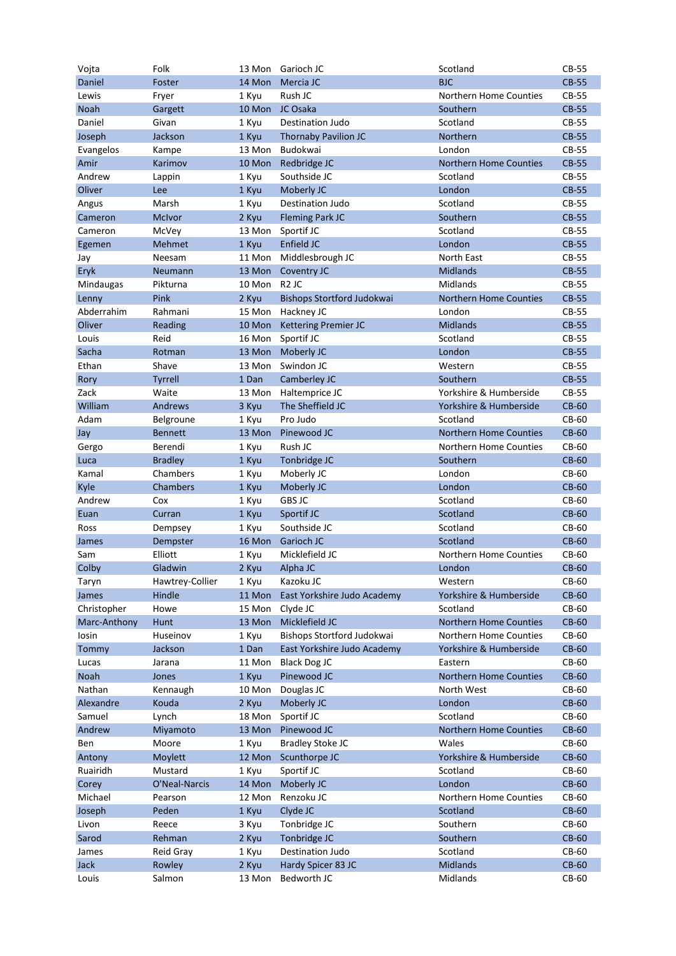| Vojta        | Folk            | 13 Mon | Garioch JC                  | Scotland                      | CB-55        |
|--------------|-----------------|--------|-----------------------------|-------------------------------|--------------|
| Daniel       | Foster          | 14 Mon | Mercia JC                   | <b>BJC</b>                    | <b>CB-55</b> |
| Lewis        | Fryer           | 1 Kyu  | Rush JC                     | Northern Home Counties        | CB-55        |
| <b>Noah</b>  | Gargett         | 10 Mon | JC Osaka                    | Southern                      | <b>CB-55</b> |
| Daniel       | Givan           | 1 Kyu  | <b>Destination Judo</b>     | Scotland                      | CB-55        |
| Joseph       | Jackson         | 1 Kyu  | <b>Thornaby Pavilion JC</b> | Northern                      | <b>CB-55</b> |
| Evangelos    | Kampe           | 13 Mon | Budokwai                    | London                        | CB-55        |
| Amir         | Karimov         | 10 Mon | Redbridge JC                | <b>Northern Home Counties</b> | <b>CB-55</b> |
| Andrew       | Lappin          | 1 Kyu  | Southside JC                | Scotland                      | CB-55        |
| Oliver       | Lee             | 1 Kyu  | Moberly JC                  | London                        | <b>CB-55</b> |
| Angus        | Marsh           | 1 Kyu  | <b>Destination Judo</b>     | Scotland                      | CB-55        |
| Cameron      | <b>McIvor</b>   | 2 Kyu  | <b>Fleming Park JC</b>      | Southern                      | <b>CB-55</b> |
| Cameron      | McVey           | 13 Mon | Sportif JC                  | Scotland                      | CB-55        |
| Egemen       | Mehmet          | 1 Kyu  | Enfield JC                  | London                        | <b>CB-55</b> |
| Jay          | Neesam          | 11 Mon | Middlesbrough JC            | North East                    | <b>CB-55</b> |
| Eryk         | Neumann         | 13 Mon | Coventry JC                 | <b>Midlands</b>               | <b>CB-55</b> |
| Mindaugas    | Pikturna        | 10 Mon | R <sub>2</sub> JC           | Midlands                      | <b>CB-55</b> |
| Lenny        | Pink            | 2 Kyu  | Bishops Stortford Judokwai  | <b>Northern Home Counties</b> | <b>CB-55</b> |
| Abderrahim   | Rahmani         | 15 Mon | Hackney JC                  | London                        | <b>CB-55</b> |
| Oliver       | Reading         | 10 Mon | Kettering Premier JC        | <b>Midlands</b>               | <b>CB-55</b> |
| Louis        | Reid            | 16 Mon | Sportif JC                  | Scotland                      | <b>CB-55</b> |
| Sacha        | Rotman          | 13 Mon | Moberly JC                  | London                        | <b>CB-55</b> |
| Ethan        | Shave           | 13 Mon | Swindon JC                  | Western                       | <b>CB-55</b> |
| Rory         | <b>Tyrrell</b>  | 1 Dan  | Camberley JC                | Southern                      | <b>CB-55</b> |
|              | Waite           |        |                             | Yorkshire & Humberside        | <b>CB-55</b> |
| Zack         |                 | 13 Mon | Haltemprice JC              |                               |              |
| William      | Andrews         | 3 Kyu  | The Sheffield JC            | Yorkshire & Humberside        | <b>CB-60</b> |
| Adam         | Belgroune       | 1 Kyu  | Pro Judo                    | Scotland                      | CB-60        |
| Jay          | <b>Bennett</b>  | 13 Mon | Pinewood JC                 | <b>Northern Home Counties</b> | <b>CB-60</b> |
| Gergo        | Berendi         | 1 Kyu  | Rush JC                     | Northern Home Counties        | CB-60        |
| Luca         | <b>Bradley</b>  | 1 Kyu  | Tonbridge JC                | Southern                      | <b>CB-60</b> |
| Kamal        | Chambers        | 1 Kyu  | Moberly JC                  | London                        | CB-60        |
| Kyle         | <b>Chambers</b> | 1 Kyu  | Moberly JC                  | London                        | <b>CB-60</b> |
| Andrew       | Cox             | 1 Kyu  | <b>GBS JC</b>               | Scotland                      | CB-60        |
| Euan         | Curran          | 1 Kyu  | Sportif JC                  | Scotland                      | <b>CB-60</b> |
| Ross         | Dempsey         | 1 Kyu  | Southside JC                | Scotland                      | CB-60        |
| James        | Dempster        | 16 Mon | Garioch JC                  | Scotland                      | <b>CB-60</b> |
| Sam          | Elliott         | 1 Kyu  | Micklefield JC              | Northern Home Counties        | CB-60        |
| Colby        | Gladwin         | 2 Kyu  | Alpha JC                    | London                        | <b>CB-60</b> |
| Taryn        | Hawtrey-Collier | 1 Kyu  | Kazoku JC                   | Western                       | CB-60        |
| James        | Hindle          | 11 Mon | East Yorkshire Judo Academy | Yorkshire & Humberside        | <b>CB-60</b> |
| Christopher  | Howe            | 15 Mon | Clyde JC                    | Scotland                      | CB-60        |
| Marc-Anthony | Hunt            | 13 Mon | Micklefield JC              | Northern Home Counties        | <b>CB-60</b> |
| losin        | Huseinov        | 1 Kyu  | Bishops Stortford Judokwai  | Northern Home Counties        | CB-60        |
| Tommy        | Jackson         | 1 Dan  | East Yorkshire Judo Academy | Yorkshire & Humberside        | CB-60        |
| Lucas        | Jarana          | 11 Mon | <b>Black Dog JC</b>         | Eastern                       | CB-60        |
| Noah         | Jones           | 1 Kyu  | Pinewood JC                 | Northern Home Counties        | <b>CB-60</b> |
| Nathan       | Kennaugh        | 10 Mon | Douglas JC                  | North West                    | CB-60        |
| Alexandre    | Kouda           | 2 Kyu  | Moberly JC                  | London                        | <b>CB-60</b> |
| Samuel       | Lynch           | 18 Mon | Sportif JC                  | Scotland                      | CB-60        |
| Andrew       | Miyamoto        | 13 Mon | Pinewood JC                 | Northern Home Counties        | <b>CB-60</b> |
| Ben          | Moore           | 1 Kyu  | <b>Bradley Stoke JC</b>     | Wales                         | CB-60        |
| Antony       | Moylett         | 12 Mon | Scunthorpe JC               | Yorkshire & Humberside        | CB-60        |
| Ruairidh     | Mustard         | 1 Kyu  | Sportif JC                  | Scotland                      | CB-60        |
| Corey        | O'Neal-Narcis   | 14 Mon | Moberly JC                  | London                        | <b>CB-60</b> |
| Michael      | Pearson         | 12 Mon | Renzoku JC                  | Northern Home Counties        | CB-60        |
| Joseph       | Peden           | 1 Kyu  | Clyde JC                    | Scotland                      | <b>CB-60</b> |
| Livon        | Reece           | 3 Kyu  | Tonbridge JC                | Southern                      | CB-60        |
| Sarod        | Rehman          | 2 Kyu  | Tonbridge JC                | Southern                      | <b>CB-60</b> |
| James        | Reid Gray       | 1 Kyu  | Destination Judo            | Scotland                      | CB-60        |
| Jack         | Rowley          | 2 Kyu  | Hardy Spicer 83 JC          | <b>Midlands</b>               | <b>CB-60</b> |
| Louis        | Salmon          | 13 Mon | Bedworth JC                 | Midlands                      | CB-60        |
|              |                 |        |                             |                               |              |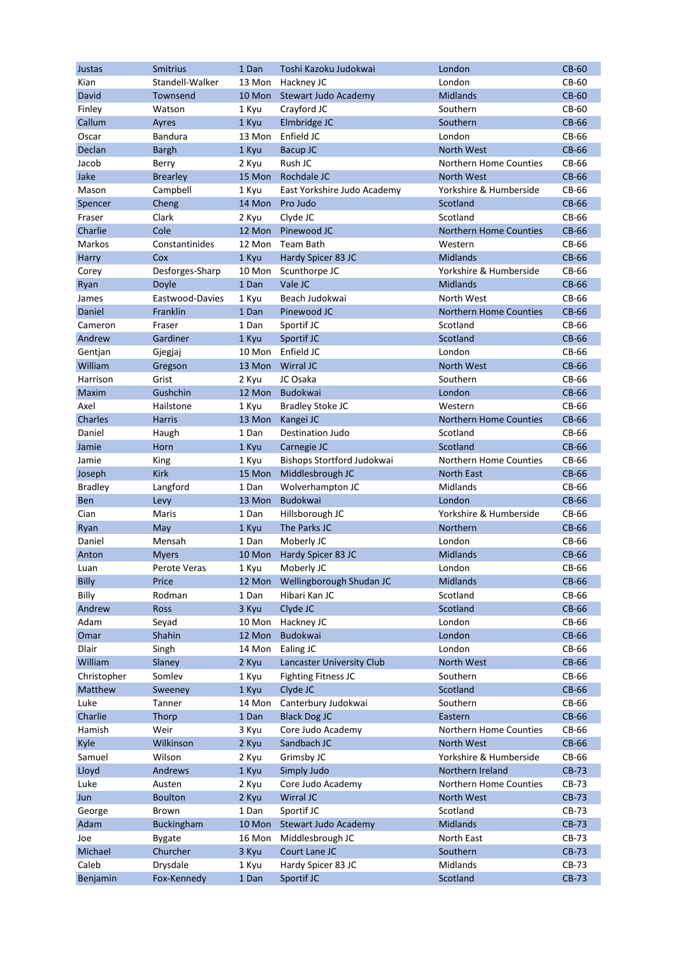| Justas             | <b>Smitrius</b>   | 1 Dan           | Toshi Kazoku Judokwai           | London                        | <b>CB-60</b> |
|--------------------|-------------------|-----------------|---------------------------------|-------------------------------|--------------|
| Kian               | Standell-Walker   | 13 Mon          | Hackney JC                      | London                        | CB-60        |
| David              | Townsend          | 10 Mon          | Stewart Judo Academy            | <b>Midlands</b>               | <b>CB-60</b> |
| Finley             | Watson            | 1 Kyu           | Crayford JC                     | Southern                      | CB-60        |
| Callum             | Ayres             | 1 Kyu           | Elmbridge JC                    | Southern                      | <b>CB-66</b> |
| Oscar              | <b>Bandura</b>    | 13 Mon          | Enfield JC                      | London                        | CB-66        |
| Declan             | <b>Bargh</b>      | 1 Kyu           | Bacup JC                        | <b>North West</b>             | <b>CB-66</b> |
| Jacob              | Berry             | 2 Kyu           | Rush JC                         | Northern Home Counties        | CB-66        |
| Jake               | <b>Brearley</b>   | 15 Mon          | Rochdale JC                     | <b>North West</b>             | <b>CB-66</b> |
| Mason              | Campbell          | 1 Kyu           | East Yorkshire Judo Academy     | Yorkshire & Humberside        | CB-66        |
| Spencer            | Cheng             | 14 Mon          | Pro Judo                        | Scotland                      | <b>CB-66</b> |
| Fraser             | Clark             | 2 Kyu           | Clyde JC                        | Scotland                      | CB-66        |
| Charlie            | Cole              | 12 Mon          | Pinewood JC                     | <b>Northern Home Counties</b> | <b>CB-66</b> |
| Markos             | Constantinides    | 12 Mon          | Team Bath                       | Western                       | CB-66        |
| Harry              | Cox               | 1 Kyu           | Hardy Spicer 83 JC              | <b>Midlands</b>               | <b>CB-66</b> |
| Corey              | Desforges-Sharp   | 10 Mon          | Scunthorpe JC                   | Yorkshire & Humberside        | CB-66        |
| Ryan               | Doyle             | 1 Dan           | Vale JC                         | <b>Midlands</b>               | <b>CB-66</b> |
| James              | Eastwood-Davies   | 1 Kyu           | Beach Judokwai                  | North West                    | CB-66        |
| Daniel             | Franklin          | 1 Dan           | Pinewood JC                     | <b>Northern Home Counties</b> | <b>CB-66</b> |
| Cameron            | Fraser            | 1 Dan           | Sportif JC                      | Scotland                      | CB-66        |
| Andrew             | Gardiner          | 1 Kyu           | Sportif JC                      | Scotland                      | <b>CB-66</b> |
|                    |                   | 10 Mon          | Enfield JC                      | London                        | CB-66        |
| Gentjan<br>William | Gjegjaj           | 13 Mon          | Wirral JC                       | <b>North West</b>             | <b>CB-66</b> |
| Harrison           | Gregson<br>Grist  |                 | JC Osaka                        | Southern                      | CB-66        |
|                    | Gushchin          | 2 Kyu<br>12 Mon | Budokwai                        | London                        | <b>CB-66</b> |
| Maxim<br>Axel      |                   |                 |                                 |                               |              |
|                    | Hailstone         | 1 Kyu           | <b>Bradley Stoke JC</b>         | Western                       | CB-66        |
| Charles            | <b>Harris</b>     | 13 Mon          | Kangei JC                       | <b>Northern Home Counties</b> | <b>CB-66</b> |
| Daniel             | Haugh             | 1 Dan           | <b>Destination Judo</b>         | Scotland                      | CB-66        |
| Jamie              | Horn              | 1 Kyu           | Carnegie JC                     | Scotland                      | <b>CB-66</b> |
| Jamie              | King              | 1 Kyu           | Bishops Stortford Judokwai      | Northern Home Counties        | CB-66        |
| Joseph             | <b>Kirk</b>       | 15 Mon          | Middlesbrough JC                | <b>North East</b>             | <b>CB-66</b> |
| <b>Bradley</b>     | Langford          | 1 Dan           | Wolverhampton JC                | Midlands                      | CB-66        |
| <b>Ben</b>         | Levy              | 13 Mon          | Budokwai                        | London                        | <b>CB-66</b> |
| Cian               | Maris             | 1 Dan           | Hillsborough JC                 | Yorkshire & Humberside        | CB-66        |
| Ryan               | May               | 1 Kyu           | The Parks JC                    | Northern                      | <b>CB-66</b> |
| Daniel             | Mensah            | 1 Dan           | Moberly JC                      | London                        | CB-66        |
| Anton              | <b>Myers</b>      | 10 Mon          | Hardy Spicer 83 JC              | <b>Midlands</b>               | <b>CB-66</b> |
| Luan               | Perote Veras      | 1 Kyu           | Moberly JC                      | London                        | CB-66        |
| <b>Billy</b>       | Price             |                 | 12 Mon Wellingborough Shudan JC | <b>Midlands</b>               | <b>CB-66</b> |
| Billy              | Rodman            | 1 Dan           | Hibari Kan JC                   | Scotland                      | CB-66        |
| Andrew             | Ross              | 3 Kyu           | Clyde JC                        | Scotland                      | <b>CB-66</b> |
| Adam               | Seyad             | 10 Mon          | Hackney JC                      | London                        | CB-66        |
| Omar               | Shahin            | 12 Mon          | Budokwai                        | London                        | <b>CB-66</b> |
| Dlair              | Singh             | 14 Mon          | Ealing JC                       | London                        | CB-66        |
| William            | Slaney            | 2 Kyu           | Lancaster University Club       | North West                    | <b>CB-66</b> |
| Christopher        | Somlev            | 1 Kyu           | <b>Fighting Fitness JC</b>      | Southern                      | CB-66        |
| Matthew            | Sweeney           | 1 Kyu           | Clyde JC                        | Scotland                      | <b>CB-66</b> |
| Luke               | Tanner            | 14 Mon          | Canterbury Judokwai             | Southern                      | CB-66        |
| Charlie            | Thorp             | 1 Dan           | <b>Black Dog JC</b>             | Eastern                       | <b>CB-66</b> |
| Hamish             | Weir              | 3 Kyu           | Core Judo Academy               | Northern Home Counties        | CB-66        |
| Kyle               | Wilkinson         | 2 Kyu           | Sandbach JC                     | North West                    | CB-66        |
| Samuel             | Wilson            | 2 Kyu           | Grimsby JC                      | Yorkshire & Humberside        | CB-66        |
| Lloyd              | Andrews           | 1 Kyu           | Simply Judo                     | Northern Ireland              | CB-73        |
| Luke               | Austen            | 2 Kyu           | Core Judo Academy               | Northern Home Counties        | CB-73        |
| Jun                | <b>Boulton</b>    | 2 Kyu           | Wirral JC                       | North West                    | <b>CB-73</b> |
| George             | Brown             | 1 Dan           | Sportif JC                      | Scotland                      | CB-73        |
| Adam               | <b>Buckingham</b> | 10 Mon          | Stewart Judo Academy            | <b>Midlands</b>               | CB-73        |
| Joe                | <b>Bygate</b>     | 16 Mon          | Middlesbrough JC                | North East                    | CB-73        |
| Michael            | Churcher          | 3 Kyu           | Court Lane JC                   | Southern                      | CB-73        |
| Caleb              | Drysdale          | 1 Kyu           | Hardy Spicer 83 JC              | Midlands                      | CB-73        |
| Benjamin           | Fox-Kennedy       | 1 Dan           | Sportif JC                      | Scotland                      | CB-73        |
|                    |                   |                 |                                 |                               |              |